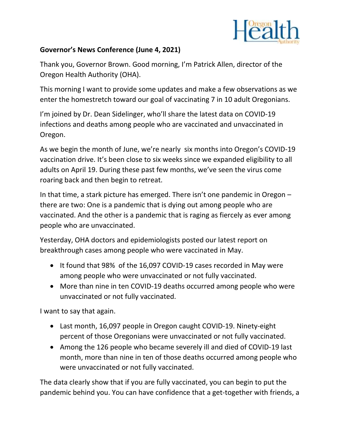

#### **Governor's News Conference (June 4, 2021)**

Thank you, Governor Brown. Good morning, I'm Patrick Allen, director of the Oregon Health Authority (OHA).

This morning I want to provide some updates and make a few observations as we enter the homestretch toward our goal of vaccinating 7 in 10 adult Oregonians.

I'm joined by Dr. Dean Sidelinger, who'll share the latest data on COVID-19 infections and deaths among people who are vaccinated and unvaccinated in Oregon.

As we begin the month of June, we're nearly six months into Oregon's COVID-19 vaccination drive. It's been close to six weeks since we expanded eligibility to all adults on April 19. During these past few months, we've seen the virus come roaring back and then begin to retreat.

In that time, a stark picture has emerged. There isn't one pandemic in Oregon – there are two: One is a pandemic that is dying out among people who are vaccinated. And the other is a pandemic that is raging as fiercely as ever among people who are unvaccinated.

Yesterday, OHA doctors and epidemiologists posted our latest report on breakthrough cases among people who were vaccinated in May.

- It found that 98% of the 16,097 COVID-19 cases recorded in May were among people who were unvaccinated or not fully vaccinated.
- More than nine in ten COVID-19 deaths occurred among people who were unvaccinated or not fully vaccinated.

I want to say that again.

- Last month, 16,097 people in Oregon caught COVID-19. Ninety-eight percent of those Oregonians were unvaccinated or not fully vaccinated.
- Among the 126 people who became severely ill and died of COVID-19 last month, more than nine in ten of those deaths occurred among people who were unvaccinated or not fully vaccinated.

The data clearly show that if you are fully vaccinated, you can begin to put the pandemic behind you. You can have confidence that a get-together with friends, a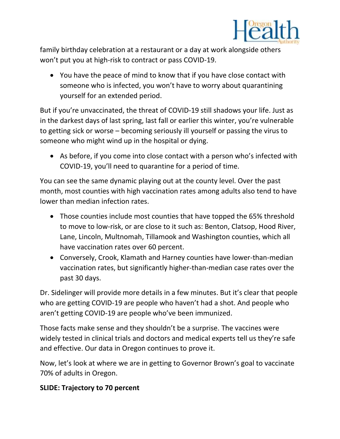

family birthday celebration at a restaurant or a day at work alongside others won't put you at high-risk to contract or pass COVID-19.

• You have the peace of mind to know that if you have close contact with someone who is infected, you won't have to worry about quarantining yourself for an extended period.

But if you're unvaccinated, the threat of COVID-19 still shadows your life. Just as in the darkest days of last spring, last fall or earlier this winter, you're vulnerable to getting sick or worse – becoming seriously ill yourself or passing the virus to someone who might wind up in the hospital or dying.

• As before, if you come into close contact with a person who's infected with COVID-19, you'll need to quarantine for a period of time.

You can see the same dynamic playing out at the county level. Over the past month, most counties with high vaccination rates among adults also tend to have lower than median infection rates.

- Those counties include most counties that have topped the 65% threshold to move to low-risk, or are close to it such as: Benton, Clatsop, Hood River, Lane, Lincoln, Multnomah, Tillamook and Washington counties, which all have vaccination rates over 60 percent.
- Conversely, Crook, Klamath and Harney counties have lower-than-median vaccination rates, but significantly higher-than-median case rates over the past 30 days.

Dr. Sidelinger will provide more details in a few minutes. But it's clear that people who are getting COVID-19 are people who haven't had a shot. And people who aren't getting COVID-19 are people who've been immunized.

Those facts make sense and they shouldn't be a surprise. The vaccines were widely tested in clinical trials and doctors and medical experts tell us they're safe and effective. Our data in Oregon continues to prove it.

Now, let's look at where we are in getting to Governor Brown's goal to vaccinate 70% of adults in Oregon.

#### **SLIDE: Trajectory to 70 percent**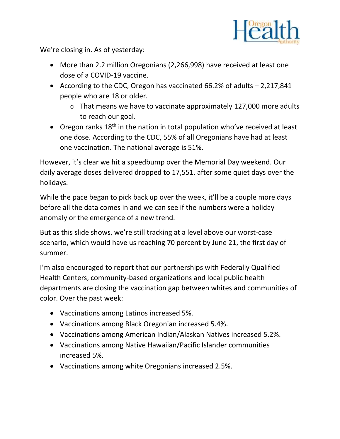

We're closing in. As of yesterday:

- More than 2.2 million Oregonians (2,266,998) have received at least one dose of a COVID-19 vaccine.
- According to the CDC, Oregon has vaccinated 66.2% of adults 2,217,841 people who are 18 or older.
	- o That means we have to vaccinate approximately 127,000 more adults to reach our goal.
- Oregon ranks  $18<sup>th</sup>$  in the nation in total population who've received at least one dose. According to the CDC, 55% of all Oregonians have had at least one vaccination. The national average is 51%.

However, it's clear we hit a speedbump over the Memorial Day weekend. Our daily average doses delivered dropped to 17,551, after some quiet days over the holidays.

While the pace began to pick back up over the week, it'll be a couple more days before all the data comes in and we can see if the numbers were a holiday anomaly or the emergence of a new trend.

But as this slide shows, we're still tracking at a level above our worst-case scenario, which would have us reaching 70 percent by June 21, the first day of summer.

I'm also encouraged to report that our partnerships with Federally Qualified Health Centers, community-based organizations and local public health departments are closing the vaccination gap between whites and communities of color. Over the past week:

- Vaccinations among Latinos increased 5%.
- Vaccinations among Black Oregonian increased 5.4%.
- Vaccinations among American Indian/Alaskan Natives increased 5.2%.
- Vaccinations among Native Hawaiian/Pacific Islander communities increased 5%.
- Vaccinations among white Oregonians increased 2.5%.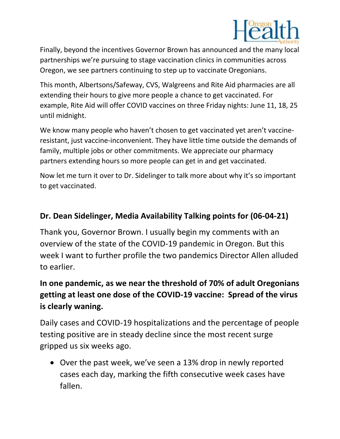

Finally, beyond the incentives Governor Brown has announced and the many local partnerships we're pursuing to stage vaccination clinics in communities across Oregon, we see partners continuing to step up to vaccinate Oregonians.

This month, Albertsons/Safeway, CVS, Walgreens and Rite Aid pharmacies are all extending their hours to give more people a chance to get vaccinated. For example, Rite Aid will offer COVID vaccines on three Friday nights: June 11, 18, 25 until midnight.

We know many people who haven't chosen to get vaccinated yet aren't vaccineresistant, just vaccine-inconvenient. They have little time outside the demands of family, multiple jobs or other commitments. We appreciate our pharmacy partners extending hours so more people can get in and get vaccinated.

Now let me turn it over to Dr. Sidelinger to talk more about why it's so important to get vaccinated.

### **Dr. Dean Sidelinger, Media Availability Talking points for (06-04-21)**

Thank you, Governor Brown. I usually begin my comments with an overview of the state of the COVID-19 pandemic in Oregon. But this week I want to further profile the two pandemics Director Allen alluded to earlier.

# **In one pandemic, as we near the threshold of 70% of adult Oregonians getting at least one dose of the COVID-19 vaccine: Spread of the virus is clearly waning.**

Daily cases and COVID-19 hospitalizations and the percentage of people testing positive are in steady decline since the most recent surge gripped us six weeks ago.

• Over the past week, we've seen a 13% drop in newly reported cases each day, marking the fifth consecutive week cases have fallen.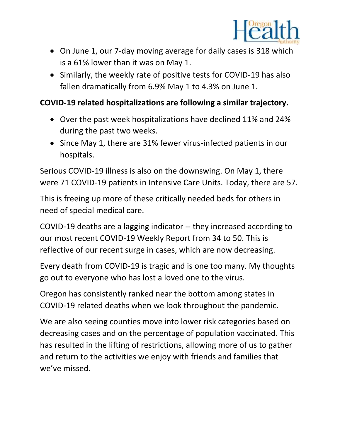

- On June 1, our 7-day moving average for daily cases is 318 which is a 61% lower than it was on May 1.
- Similarly, the weekly rate of positive tests for COVID-19 has also fallen dramatically from 6.9% May 1 to 4.3% on June 1.

### **COVID-19 related hospitalizations are following a similar trajectory.**

- Over the past week hospitalizations have declined 11% and 24% during the past two weeks.
- Since May 1, there are 31% fewer virus-infected patients in our hospitals.

Serious COVID-19 illness is also on the downswing. On May 1, there were 71 COVID-19 patients in Intensive Care Units. Today, there are 57.

This is freeing up more of these critically needed beds for others in need of special medical care.

COVID-19 deaths are a lagging indicator -- they increased according to our most recent COVID-19 Weekly Report from 34 to 50. This is reflective of our recent surge in cases, which are now decreasing.

Every death from COVID-19 is tragic and is one too many. My thoughts go out to everyone who has lost a loved one to the virus.

Oregon has consistently ranked near the bottom among states in COVID-19 related deaths when we look throughout the pandemic.

We are also seeing counties move into lower risk categories based on decreasing cases and on the percentage of population vaccinated. This has resulted in the lifting of restrictions, allowing more of us to gather and return to the activities we enjoy with friends and families that we've missed.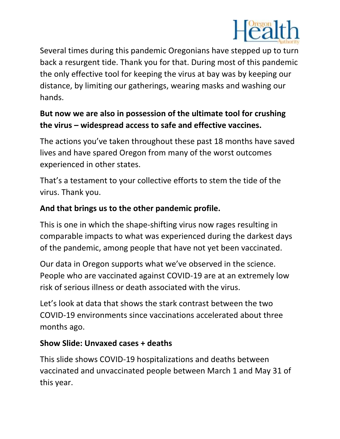

Several times during this pandemic Oregonians have stepped up to turn back a resurgent tide. Thank you for that. During most of this pandemic the only effective tool for keeping the virus at bay was by keeping our distance, by limiting our gatherings, wearing masks and washing our hands.

# **But now we are also in possession of the ultimate tool for crushing the virus – widespread access to safe and effective vaccines.**

The actions you've taken throughout these past 18 months have saved lives and have spared Oregon from many of the worst outcomes experienced in other states.

That's a testament to your collective efforts to stem the tide of the virus. Thank you.

## **And that brings us to the other pandemic profile.**

This is one in which the shape-shifting virus now rages resulting in comparable impacts to what was experienced during the darkest days of the pandemic, among people that have not yet been vaccinated.

Our data in Oregon supports what we've observed in the science. People who are vaccinated against COVID-19 are at an extremely low risk of serious illness or death associated with the virus.

Let's look at data that shows the stark contrast between the two COVID-19 environments since vaccinations accelerated about three months ago.

## **Show Slide: Unvaxed cases + deaths**

This slide shows COVID-19 hospitalizations and deaths between vaccinated and unvaccinated people between March 1 and May 31 of this year.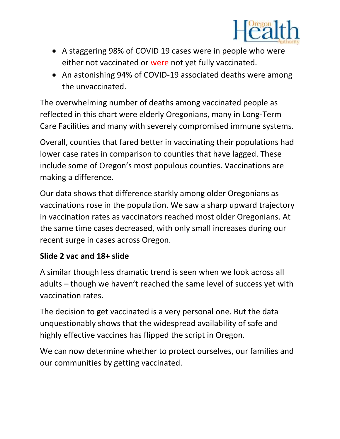

- A staggering 98% of COVID 19 cases were in people who were either not vaccinated or were not yet fully vaccinated.
- An astonishing 94% of COVID-19 associated deaths were among the unvaccinated.

The overwhelming number of deaths among vaccinated people as reflected in this chart were elderly Oregonians, many in Long-Term Care Facilities and many with severely compromised immune systems.

Overall, counties that fared better in vaccinating their populations had lower case rates in comparison to counties that have lagged. These include some of Oregon's most populous counties. Vaccinations are making a difference.

Our data shows that difference starkly among older Oregonians as vaccinations rose in the population. We saw a sharp upward trajectory in vaccination rates as vaccinators reached most older Oregonians. At the same time cases decreased, with only small increases during our recent surge in cases across Oregon.

#### **Slide 2 vac and 18+ slide**

A similar though less dramatic trend is seen when we look across all adults – though we haven't reached the same level of success yet with vaccination rates.

The decision to get vaccinated is a very personal one. But the data unquestionably shows that the widespread availability of safe and highly effective vaccines has flipped the script in Oregon.

We can now determine whether to protect ourselves, our families and our communities by getting vaccinated.